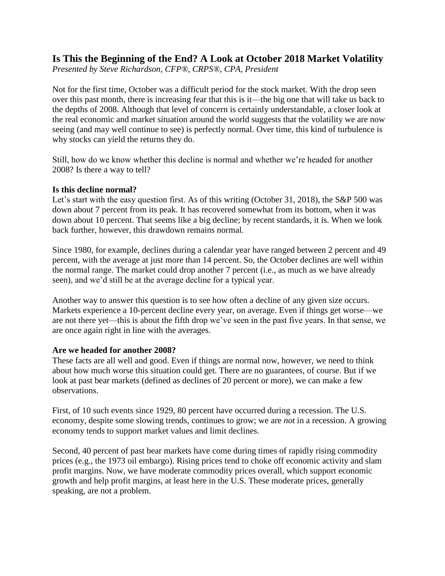# **Is This the Beginning of the End? A Look at October 2018 Market Volatility**

*Presented by Steve Richardson, CFP®, CRPS®, CPA, President*

Not for the first time, October was a difficult period for the stock market. With the drop seen over this past month, there is increasing fear that this is it—the big one that will take us back to the depths of 2008. Although that level of concern is certainly understandable, a closer look at the real economic and market situation around the world suggests that the volatility we are now seeing (and may well continue to see) is perfectly normal. Over time, this kind of turbulence is why stocks can yield the returns they do.

Still, how do we know whether this decline is normal and whether we're headed for another 2008? Is there a way to tell?

## **Is this decline normal?**

Let's start with the easy question first. As of this writing (October 31, 2018), the S&P 500 was down about 7 percent from its peak. It has recovered somewhat from its bottom, when it was down about 10 percent. That seems like a big decline; by recent standards, it is. When we look back further, however, this drawdown remains normal.

Since 1980, for example, declines during a calendar year have ranged between 2 percent and 49 percent, with the average at just more than 14 percent. So, the October declines are well within the normal range. The market could drop another 7 percent (i.e., as much as we have already seen), and we'd still be at the average decline for a typical year.

Another way to answer this question is to see how often a decline of any given size occurs. Markets experience a 10-percent decline every year, on average. Even if things get worse—we are not there yet—this is about the fifth drop we've seen in the past five years. In that sense, we are once again right in line with the averages.

## **Are we headed for another 2008?**

These facts are all well and good. Even if things are normal now, however, we need to think about how much worse this situation could get. There are no guarantees, of course. But if we look at past bear markets (defined as declines of 20 percent or more), we can make a few observations.

First, of 10 such events since 1929, 80 percent have occurred during a recession. The U.S. economy, despite some slowing trends, continues to grow; we are *not* in a recession. A growing economy tends to support market values and limit declines.

Second, 40 percent of past bear markets have come during times of rapidly rising commodity prices (e.g., the 1973 oil embargo). Rising prices tend to choke off economic activity and slam profit margins. Now, we have moderate commodity prices overall, which support economic growth and help profit margins, at least here in the U.S. These moderate prices, generally speaking, are not a problem.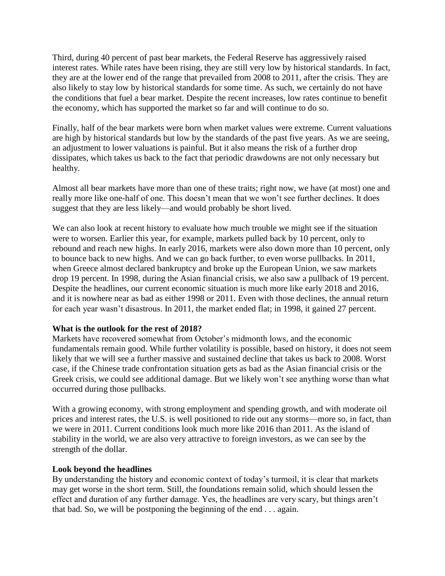Third, during 40 percent of past bear markets, the Federal Reserve has aggressively raised interest rates. While rates have been rising, they are still very low by historical standards. In fact, they are at the lower end of the range that prevailed from 2008 to 2011, after the crisis. They are also likely to stay low by historical standards for some time. As such, we certainly do not have the conditions that fuel a bear market. Despite the recent increases, low rates continue to benefit the economy, which has supported the market so far and will continue to do so.

Finally, half of the bear markets were born when market values were extreme. Current valuations are high by historical standards but low by the standards of the past five years. As we are seeing, an adjustment to lower valuations is painful. But it also means the risk of a further drop dissipates, which takes us back to the fact that periodic drawdowns are not only necessary but healthy.

Almost all bear markets have more than one of these traits; right now, we have (at most) one and really more like one-half of one. This doesn't mean that we won't see further declines. It does suggest that they are less likely—and would probably be short lived.

We can also look at recent history to evaluate how much trouble we might see if the situation were to worsen. Earlier this year, for example, markets pulled back by 10 percent, only to rebound and reach new highs. In early 2016, markets were also down more than 10 percent, only to bounce back to new highs. And we can go back further, to even worse pullbacks. In 2011, when Greece almost declared bankruptcy and broke up the European Union, we saw markets drop 19 percent. In 1998, during the Asian financial crisis, we also saw a pullback of 19 percent. Despite the headlines, our current economic situation is much more like early 2018 and 2016, and it is nowhere near as bad as either 1998 or 2011. Even with those declines, the annual return for each year wasn't disastrous. In 2011, the market ended flat; in 1998, it gained 27 percent.

## **What is the outlook for the rest of 2018?**

Markets have recovered somewhat from October's midmonth lows, and the economic fundamentals remain good. While further volatility is possible, based on history, it does not seem likely that we will see a further massive and sustained decline that takes us back to 2008. Worst case, if the Chinese trade confrontation situation gets as bad as the Asian financial crisis or the Greek crisis, we could see additional damage. But we likely won't see anything worse than what occurred during those pullbacks.

With a growing economy, with strong employment and spending growth, and with moderate oil prices and interest rates, the U.S. is well positioned to ride out any storms—more so, in fact, than we were in 2011. Current conditions look much more like 2016 than 2011. As the island of stability in the world, we are also very attractive to foreign investors, as we can see by the strength of the dollar.

#### **Look beyond the headlines**

By understanding the history and economic context of today's turmoil, it is clear that markets may get worse in the short term. Still, the foundations remain solid, which should lessen the effect and duration of any further damage. Yes, the headlines are very scary, but things aren't that bad. So, we will be postponing the beginning of the end . . . again.